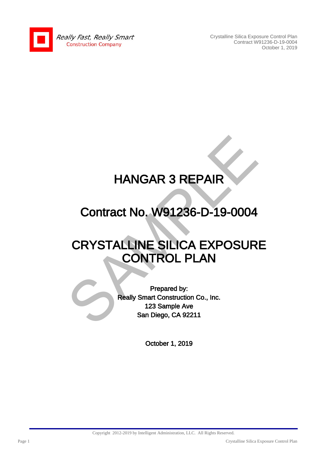

Crystalline Silica Exposure Control Plan Contract W91236-D-19-0004 October 1, 2019

## HANGAR 3 REPAIR

### Contract No. W91236-D-19-0004

# HANGAR 3 REPAIR<br>
Contract No. W91236-D-19-0004<br>
CRYSTALLINE SILICA EXPOSUR<br>
CONTROL PLAN<br>
Prepared by:<br>
Really Smart Construction Co., Inc.<br>
123 Sample Ave<br>
San Diego, CA 92211 CRYSTALLINE SILICA EXPOSURE CONTROL PLAN

Prepared by: Really Smart Construction Co., Inc. 123 Sample Ave San Diego, CA 92211

October 1, 2019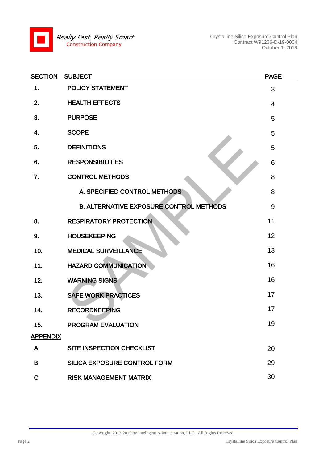

Crystalline Silica Exposure Control Plan Contract W91236-D-19-0004 October 1, 2019

| <b>SECTION</b>  | <b>SUBJECT</b>                                 | <b>PAGE</b>    |
|-----------------|------------------------------------------------|----------------|
| 1.              | <b>POLICY STATEMENT</b>                        | 3              |
| 2.              | <b>HEALTH EFFECTS</b>                          | $\overline{4}$ |
| 3.              | <b>PURPOSE</b>                                 | 5              |
| 4.              | <b>SCOPE</b>                                   | 5              |
| 5.              | <b>DEFINITIONS</b>                             | 5              |
| 6.              | <b>RESPONSIBILITIES</b>                        | 6              |
| 7.              | <b>CONTROL METHODS</b>                         | 8              |
|                 | A. SPECIFIED CONTROL METHODS                   | 8              |
|                 | <b>B. ALTERNATIVE EXPOSURE CONTROL METHODS</b> | 9              |
| 8.              | <b>RESPIRATORY PROTECTION</b>                  | 11             |
| 9.              | <b>HOUSEKEEPING</b>                            | 12             |
| 10.             | <b>MEDICAL SURVEILLANCE</b>                    | 13             |
| 11.             | <b>HAZARD COMMUNICATION</b>                    | 16             |
| 12.             | <b>WARNING SIGNS</b>                           | 16             |
| 13.             | <b>SAFE WORK PRACTICES</b>                     | 17             |
| 14.             | <b>RECORDKEEPING</b>                           | 17             |
| 15.             | PROGRAM EVALUATION                             | 19             |
| <b>APPENDIX</b> |                                                |                |
| A               | SITE INSPECTION CHECKLIST                      | 20             |
| B               | SILICA EXPOSURE CONTROL FORM                   | 29             |
| $\mathbf C$     | <b>RISK MANAGEMENT MATRIX</b>                  | 30             |

Copyright 2012-2019 by Intelligent Administration, LLC. All Rights Reserved.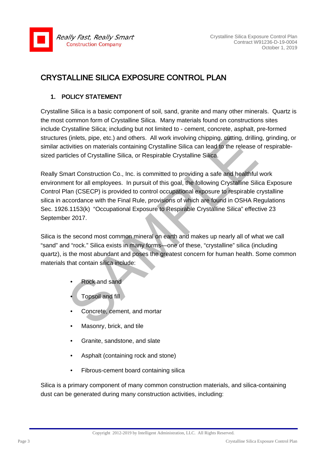

#### CRYSTALLINE SILICA EXPOSURE CONTROL PLAN

#### 1. POLICY STATEMENT

Crystalline Silica is a basic component of soil, sand, granite and many other minerals. Quartz is the most common form of Crystalline Silica. Many materials found on constructions sites include Crystalline Silica; including but not limited to - cement, concrete, asphalt, pre-formed structures (inlets, pipe, etc.) and others. All work involving chipping, cutting, drilling, grinding, or similar activities on materials containing Crystalline Silica can lead to the release of respirablesized particles of Crystalline Silica, or Respirable Crystalline Silica.

s (inlets, pipe, etc.) and others. All work involving chipping, cutting, drillin<br>tivities on materials containing Crystalline Silica can lead to the release ticles of Crystalline Silica, or Respirable Crystalline Silica.<br> Really Smart Construction Co., Inc. is committed to providing a safe and healthful work environment for all employees. In pursuit of this goal, the following Crystalline Silica Exposure Control Plan (CSECP) is provided to control occupational exposure to respirable crystalline silica in accordance with the Final Rule, provisions of which are found in OSHA Regulations Sec. 1926.1153(k) "Occupational Exposure to Respirable Crystalline Silica" effective 23 September 2017.

Silica is the second most common mineral on earth and makes up nearly all of what we call "sand" and "rock." Silica exists in many forms—one of these, "crystalline" silica (including quartz), is the most abundant and poses the greatest concern for human health. Some common materials that contain silica include:

- Rock and sand
- Topsoil and fill
- Concrete, cement, and mortar
- Masonry, brick, and tile
- Granite, sandstone, and slate
- Asphalt (containing rock and stone)
- Fibrous-cement board containing silica

Silica is a primary component of many common construction materials, and silica-containing dust can be generated during many construction activities, including: